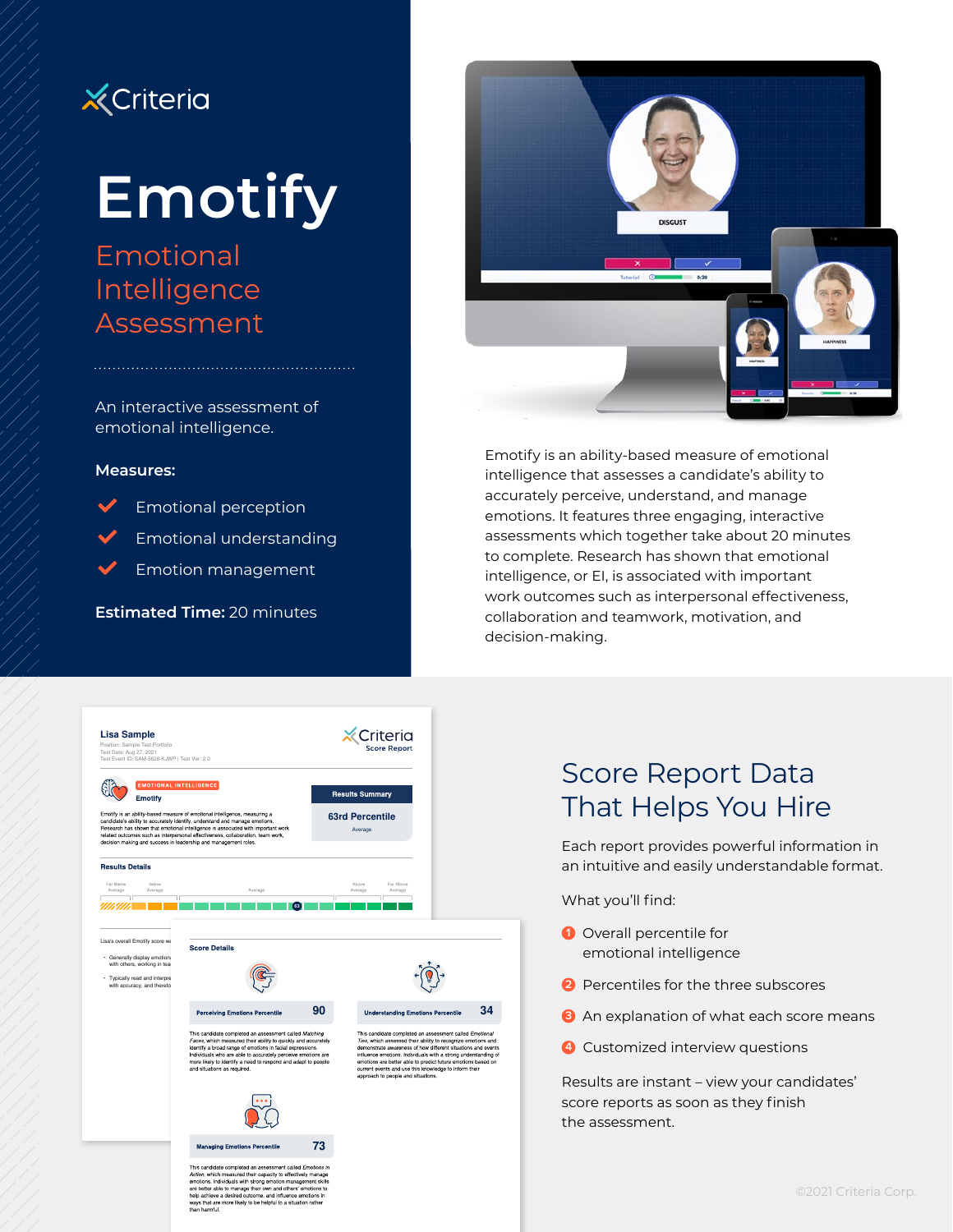

# **Emotify**

## Emotional Intelligence Assessment

An interactive assessment of emotional intelligence.

#### **Measures:**

L Emotional perception

L Emotional understanding

L Emotion management

**Estimated Time:** 20 minutes



Emotify is an ability-based measure of emotional intelligence that assesses a candidate's ability to accurately perceive, understand, and manage emotions. It features three engaging, interactive assessments which together take about 20 minutes to complete. Research has shown that emotional intelligence, or EI, is associated with important work outcomes such as interpersonal effectiveness, collaboration and teamwork, motivation, and decision-making.



## Score Report Data That Helps You Hire

Each report provides powerful information in an intuitive and easily understandable format.

What you'll find:

- **1** Overall percentile for emotional intelligence
- **2** Percentiles for the three subscores
- **3** An explanation of what each score means
- **4** Customized interview questions

Results are instant – view your candidates' score reports as soon as they finish the assessment.